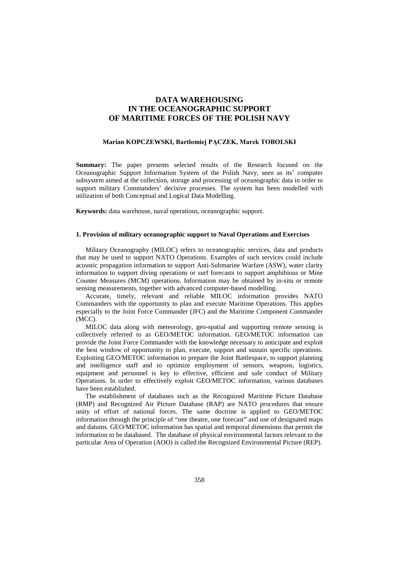# **DATA WAREHOUSING IN THE OCEANOGRAPHIC SUPPORT OF MARITIME FORCES OF THE POLISH NAVY**

### **Marian KOPCZEWSKI, Bartłomiej PĄCZEK, Marek TOBOLSKI**

**Summary:** The paper presents selected results of the Research focused on the Oceanographic Support Information System of the Polish Navy, seen as its' computer subsystem aimed at the collection, storage and processing of oceanographic data in order to support military Commanders' decisive processes. The system has been modelled with utilization of both Conceptual and Logical Data Modelling.

**Keywords:** data warehouse, naval operations, oceanographic support.

## **1. Provision of military oceanographic support to Naval Operations and Exercises**

Military Oceanography (MILOC) refers to oceanographic services, data and products that may be used to support NATO Operations. Examples of such services could include acoustic propagation information to support Anti-Submarine Warfare (ASW), water clarity information to support diving operations or surf forecasts to support amphibious or Mine Counter Measures (MCM) operations. Information may be obtained by in-situ or remote sensing measurements, together with advanced computer-based modelling.

Accurate, timely, relevant and reliable MILOC information provides NATO Commanders with the opportunity to plan and execute Maritime Operations. This applies especially to the Joint Force Commander (JFC) and the Maritime Component Commander (MCC).

MILOC data along with meteorology, geo-spatial and supporting remote sensing is collectively referred to as GEO/METOC information. GEO/METOC information can provide the Joint Force Commander with the knowledge necessary to anticipate and exploit the best window of opportunity to plan, execute, support and sustain specific operations. Exploiting GEO/METOC information to prepare the Joint Battlespace, to support planning and intelligence staff and to optimize employment of sensors, weapons, logistics, equipment and personnel is key to effective, efficient and safe conduct of Military Operations. In order to effectively exploit GEO/METOC information, various databases have been established.

The establishment of databases such as the Recognized Maritime Picture Database (RMP) and Recognized Air Picture Database (RAP) are NATO procedures that ensure unity of effort of national forces. The same doctrine is applied to GEO/METOC information through the principle of "one theatre, one forecast" and use of designated maps and datums. GEO/METOC information has spatial and temporal dimensions that permit the information to be databased. The database of physical environmental factors relevant to the particular Area of Operation (AOO) is called the Recognized Environmental Picture (REP).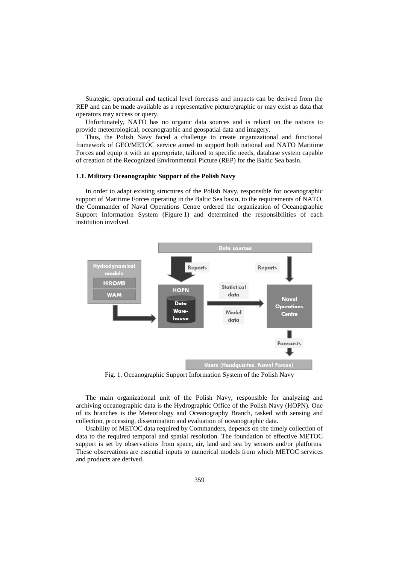Strategic, operational and tactical level forecasts and impacts can be derived from the REP and can be made available as a representative picture/graphic or may exist as data that operators may access or query.

Unfortunately, NATO has no organic data sources and is reliant on the nations to provide meteorological, oceanographic and geospatial data and imagery.

Thus, the Polish Navy faced a challenge to create organizational and functional framework of GEO/METOC service aimed to support both national and NATO Maritime Forces and equip it with an appropriate, tailored to specific needs, database system capable of creation of the Recognized Environmental Picture (REP) for the Baltic Sea basin.

### **1.1. Military Oceanographic Support of the Polish Navy**

In order to adapt existing structures of the Polish Navy, responsible for oceanographic support of Maritime Forces operating in the Baltic Sea basin, to the requirements of NATO, the Commander of Naval Operations Centre ordered the organization of Oceanographic Support Information System (Figure 1) and determined the responsibilities of each institution involved.



Fig. 1. Oceanographic Support Information System of the Polish Navy

The main organizational unit of the Polish Navy, responsible for analyzing and archiving oceanographic data is the Hydrographic Office of the Polish Navy (HOPN). One of its branches is the Meteorology and Oceanography Branch, tasked with sensing and collection, processing, dissemination and evaluation of oceanographic data.

Usability of METOC data required by Commanders, depends on the timely collection of data to the required temporal and spatial resolution. The foundation of effective METOC support is set by observations from space, air, land and sea by sensors and/or platforms. These observations are essential inputs to numerical models from which METOC services and products are derived.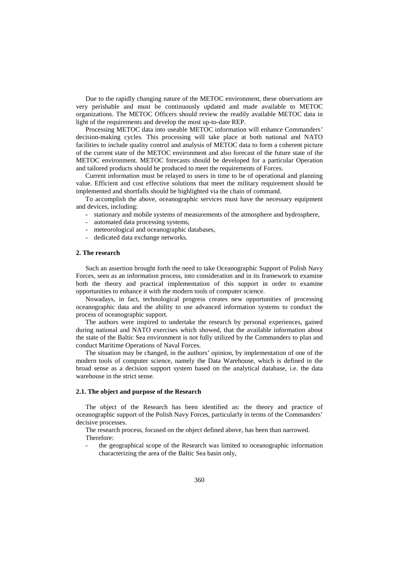Due to the rapidly changing nature of the METOC environment, these observations are very perishable and must be continuously updated and made available to METOC organizations. The METOC Officers should review the readily available METOC data in light of the requirements and develop the most up-to-date REP.

Processing METOC data into useable METOC information will enhance Commanders' decision-making cycles. This processing will take place at both national and NATO facilities to include quality control and analysis of METOC data to form a coherent picture of the current state of the METOC environment and also forecast of the future state of the METOC environment. METOC forecasts should be developed for a particular Operation and tailored products should be produced to meet the requirements of Forces.

Current information must be relayed to users in time to be of operational and planning value. Efficient and cost effective solutions that meet the military requirement should be implemented and shortfalls should be highlighted via the chain of command.

To accomplish the above, oceanographic services must have the necessary equipment and devices, including:

- stationary and mobile systems of measurements of the atmosphere and hydrosphere,
- automated data processing systems,
- meteorological and oceanographic databases,
- dedicated data exchange networks.

#### **2. The research**

Such an assertion brought forth the need to take Oceanographic Support of Polish Navy Forces, seen as an information process, into consideration and in its framework to examine both the theory and practical implementation of this support in order to examine opportunities to enhance it with the modern tools of computer science.

Nowadays, in fact, technological progress creates new opportunities of processing oceanographic data and the ability to use advanced information systems to conduct the process of oceanographic support.

The authors were inspired to undertake the research by personal experiences, gained during national and NATO exercises which showed, that the available information about the state of the Baltic Sea environment is not fully utilized by the Commanders to plan and conduct Maritime Operations of Naval Forces.

The situation may be changed, in the authors' opinion, by implementation of one of the modern tools of computer science, namely the Data Warehouse, which is defined in the broad sense as a decision support system based on the analytical database, i.e. the data warehouse in the strict sense.

# **2.1. The object and purpose of the Research**

The object of the Research has been identified as: the theory and practice of oceanographic support of the Polish Navy Forces, particularly in terms of the Commanders' decisive processes.

The research process, focused on the object defined above, has been than narrowed. Therefore:

- the geographical scope of the Research was limited to oceanographic information characterizing the area of the Baltic Sea basin only,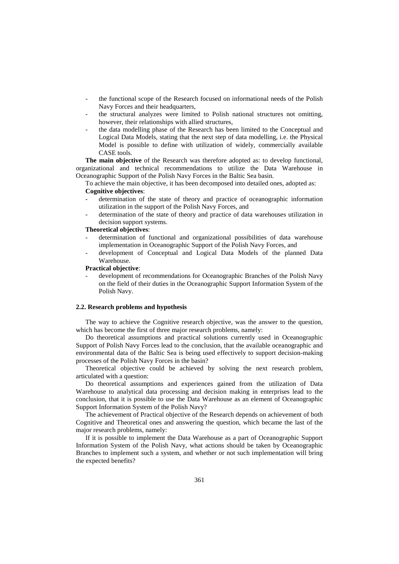- the functional scope of the Research focused on informational needs of the Polish Navy Forces and their headquarters,
- the structural analyzes were limited to Polish national structures not omitting, however, their relationships with allied structures,
- the data modelling phase of the Research has been limited to the Conceptual and Logical Data Models, stating that the next step of data modelling, i.e. the Physical Model is possible to define with utilization of widely, commercially available CASE tools.

**The main objective** of the Research was therefore adopted as: to develop functional, organizational and technical recommendations to utilize the Data Warehouse in Oceanographic Support of the Polish Navy Forces in the Baltic Sea basin.

To achieve the main objective, it has been decomposed into detailed ones, adopted as: **Cognitive objectives**:

- determination of the state of theory and practice of oceanographic information utilization in the support of the Polish Navy Forces, and
- determination of the state of theory and practice of data warehouses utilization in decision support systems.

#### **Theoretical objectives**:

- determination of functional and organizational possibilities of data warehouse implementation in Oceanographic Support of the Polish Navy Forces, and
- development of Conceptual and Logical Data Models of the planned Data Warehouse.

# **Practical objective**:

- development of recommendations for Oceanographic Branches of the Polish Navy on the field of their duties in the Oceanographic Support Information System of the Polish Navy.

### **2.2. Research problems and hypothesis**

The way to achieve the Cognitive research objective, was the answer to the question, which has become the first of three major research problems, namely:

Do theoretical assumptions and practical solutions currently used in Oceanographic Support of Polish Navy Forces lead to the conclusion, that the available oceanographic and environmental data of the Baltic Sea is being used effectively to support decision-making processes of the Polish Navy Forces in the basin?

Theoretical objective could be achieved by solving the next research problem, articulated with a question:

Do theoretical assumptions and experiences gained from the utilization of Data Warehouse to analytical data processing and decision making in enterprises lead to the conclusion, that it is possible to use the Data Warehouse as an element of Oceanographic Support Information System of the Polish Navy?

The achievement of Practical objective of the Research depends on achievement of both Cognitive and Theoretical ones and answering the question, which became the last of the major research problems, namely:

If it is possible to implement the Data Warehouse as a part of Oceanographic Support Information System of the Polish Navy, what actions should be taken by Oceanographic Branches to implement such a system, and whether or not such implementation will bring the expected benefits?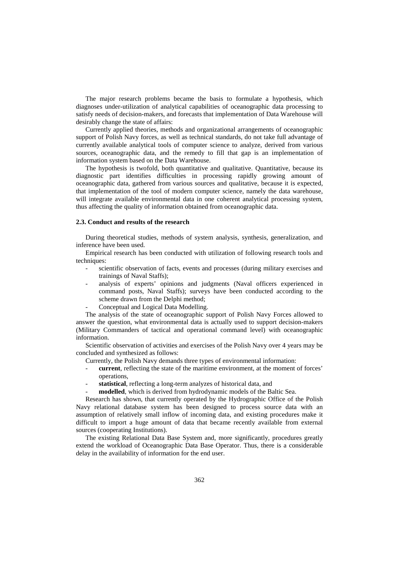The major research problems became the basis to formulate a hypothesis, which diagnoses under-utilization of analytical capabilities of oceanographic data processing to satisfy needs of decision-makers, and forecasts that implementation of Data Warehouse will desirably change the state of affairs:

Currently applied theories, methods and organizational arrangements of oceanographic support of Polish Navy forces, as well as technical standards, do not take full advantage of currently available analytical tools of computer science to analyze, derived from various sources, oceanographic data, and the remedy to fill that gap is an implementation of information system based on the Data Warehouse.

The hypothesis is twofold, both quantitative and qualitative. Quantitative, because its diagnostic part identifies difficulties in processing rapidly growing amount of oceanographic data, gathered from various sources and qualitative, because it is expected, that implementation of the tool of modern computer science, namely the data warehouse, will integrate available environmental data in one coherent analytical processing system, thus affecting the quality of information obtained from oceanographic data.

# **2.3. Conduct and results of the research**

During theoretical studies, methods of system analysis, synthesis, generalization, and inference have been used.

Empirical research has been conducted with utilization of following research tools and techniques:

- scientific observation of facts, events and processes (during military exercises and trainings of Naval Staffs);
- analysis of experts' opinions and judgments (Naval officers experienced in command posts, Naval Staffs); surveys have been conducted according to the scheme drawn from the Delphi method;
- Conceptual and Logical Data Modelling.

The analysis of the state of oceanographic support of Polish Navy Forces allowed to answer the question, what environmental data is actually used to support decision-makers (Military Commanders of tactical and operational command level) with oceanographic information.

Scientific observation of activities and exercises of the Polish Navy over 4 years may be concluded and synthesized as follows:

- Currently, the Polish Navy demands three types of environmental information:
- **current**, reflecting the state of the maritime environment, at the moment of forces' operations,
- statistical, reflecting a long-term analyzes of historical data, and
- modelled, which is derived from hydrodynamic models of the Baltic Sea.

Research has shown, that currently operated by the Hydrographic Office of the Polish Navy relational database system has been designed to process source data with an assumption of relatively small inflow of incoming data, and existing procedures make it difficult to import a huge amount of data that became recently available from external sources (cooperating Institutions).

The existing Relational Data Base System and, more significantly, procedures greatly extend the workload of Oceanographic Data Base Operator. Thus, there is a considerable delay in the availability of information for the end user.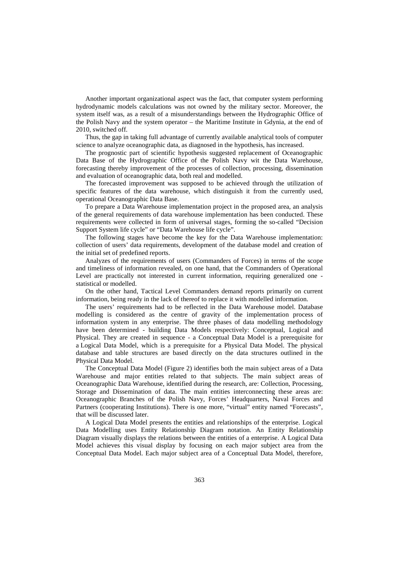Another important organizational aspect was the fact, that computer system performing hydrodynamic models calculations was not owned by the military sector. Moreover, the system itself was, as a result of a misunderstandings between the Hydrographic Office of the Polish Navy and the system operator – the Maritime Institute in Gdynia, at the end of 2010, switched off.

Thus, the gap in taking full advantage of currently available analytical tools of computer science to analyze oceanographic data, as diagnosed in the hypothesis, has increased.

The prognostic part of scientific hypothesis suggested replacement of Oceanographic Data Base of the Hydrographic Office of the Polish Navy wit the Data Warehouse, forecasting thereby improvement of the processes of collection, processing, dissemination and evaluation of oceanographic data, both real and modelled.

The forecasted improvement was supposed to be achieved through the utilization of specific features of the data warehouse, which distinguish it from the currently used, operational Oceanographic Data Base.

To prepare a Data Warehouse implementation project in the proposed area, an analysis of the general requirements of data warehouse implementation has been conducted. These requirements were collected in form of universal stages, forming the so-called "Decision Support System life cycle" or "Data Warehouse life cycle".

The following stages have become the key for the Data Warehouse implementation: collection of users' data requirements, development of the database model and creation of the initial set of predefined reports.

Analyzes of the requirements of users (Commanders of Forces) in terms of the scope and timeliness of information revealed, on one hand, that the Commanders of Operational Level are practically not interested in current information, requiring generalized one statistical or modelled.

On the other hand, Tactical Level Commanders demand reports primarily on current information, being ready in the lack of thereof to replace it with modelled information.

The users' requirements had to be reflected in the Data Warehouse model. Database modelling is considered as the centre of gravity of the implementation process of information system in any enterprise. The three phases of data modelling methodology have been determined - building Data Models respectively: Conceptual, Logical and Physical. They are created in sequence - a Conceptual Data Model is a prerequisite for a Logical Data Model, which is a prerequisite for a Physical Data Model. The physical database and table structures are based directly on the data structures outlined in the Physical Data Model.

The Conceptual Data Model (Figure 2) identifies both the main subject areas of a Data Warehouse and major entities related to that subjects. The main subject areas of Oceanographic Data Warehouse, identified during the research, are: Collection, Processing, Storage and Dissemination of data. The main entities interconnecting these areas are: Oceanographic Branches of the Polish Navy, Forces' Headquarters, Naval Forces and Partners (cooperating Institutions). There is one more, "virtual" entity named "Forecasts", that will be discussed later.

A Logical Data Model presents the entities and relationships of the enterprise. Logical Data Modelling uses Entity Relationship Diagram notation. An Entity Relationship Diagram visually displays the relations between the entities of a enterprise. A Logical Data Model achieves this visual display by focusing on each major subject area from the Conceptual Data Model. Each major subject area of a Conceptual Data Model, therefore,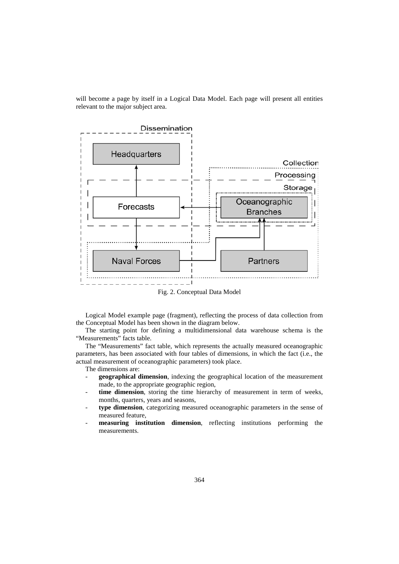will become a page by itself in a Logical Data Model. Each page will present all entities relevant to the major subject area.



Fig. 2. Conceptual Data Model

Logical Model example page (fragment), reflecting the process of data collection from the Conceptual Model has been shown in the diagram below.

The starting point for defining a multidimensional data warehouse schema is the "Measurements" facts table.

The "Measurements" fact table, which represents the actually measured oceanographic parameters, has been associated with four tables of dimensions, in which the fact (i.e., the actual measurement of oceanographic parameters) took place.

The dimensions are:

- **geographical dimension**, indexing the geographical location of the measurement made, to the appropriate geographic region,
- time dimension, storing the time hierarchy of measurement in term of weeks, months, quarters, years and seasons,
- **type dimension**, categorizing measured oceanographic parameters in the sense of measured feature,
- measuring institution dimension, reflecting institutions performing the measurements.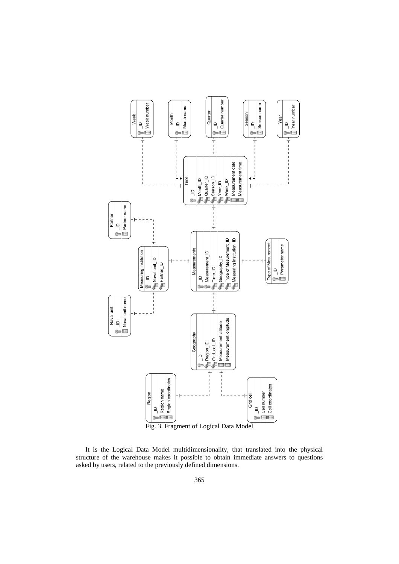

It is the Logical Data Model multidimensionality, that translated into the physical structure of the warehouse makes it possible to obtain immediate answers to questions asked by users, related to the previously defined dimensions.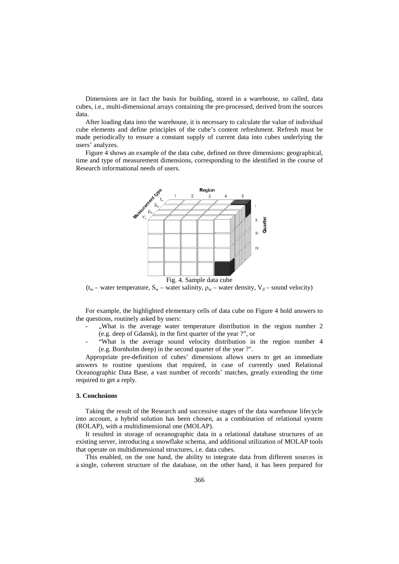Dimensions are in fact the basis for building, stored in a warehouse, so called, data cubes, i.e., multi-dimensional arrays containing the pre-processed, derived from the sources data.

After loading data into the warehouse, it is necessary to calculate the value of individual cube elements and define principles of the cube's content refreshment. Refresh must be made periodically to ensure a constant supply of current data into cubes underlying the users' analyzes.

Figure 4 shows an example of the data cube, defined on three dimensions: geographical, time and type of measurement dimensions, corresponding to the identified in the course of Research informational needs of users.



( $t_w$  – water temperature,  $S_w$  – water salinity,  $\rho_w$  – water density,  $V_d$  – sound velocity)

For example, the highlighted elementary cells of data cube on Figure 4 hold answers to the questions, routinely asked by users:

- "What is the average water temperature distribution in the region number 2 (e.g. deep of Gdansk), in the first quarter of the year ?", or
- "What is the average sound velocity distribution in the region number 4 (e.g. Bornholm deep) in the second quarter of the year ?".

Appropriate pre-definition of cubes' dimensions allows users to get an immediate answers to routine questions that required, in case of currently used Relational Oceanographic Data Base, a vast number of records' matches, greatly extending the time required to get a reply.

# **3. Conclusions**

Taking the result of the Research and successive stages of the data warehouse lifecycle into account, a hybrid solution has been chosen, as a combination of relational system (ROLAP), with a multidimensional one (MOLAP).

It resulted in storage of oceanographic data in a relational database structures of an existing server, introducing a snowflake schema, and additional utilization of MOLAP tools that operate on multidimensional structures, i.e. data cubes.

This enabled, on the one hand, the ability to integrate data from different sources in a single, coherent structure of the database, on the other hand, it has been prepared for